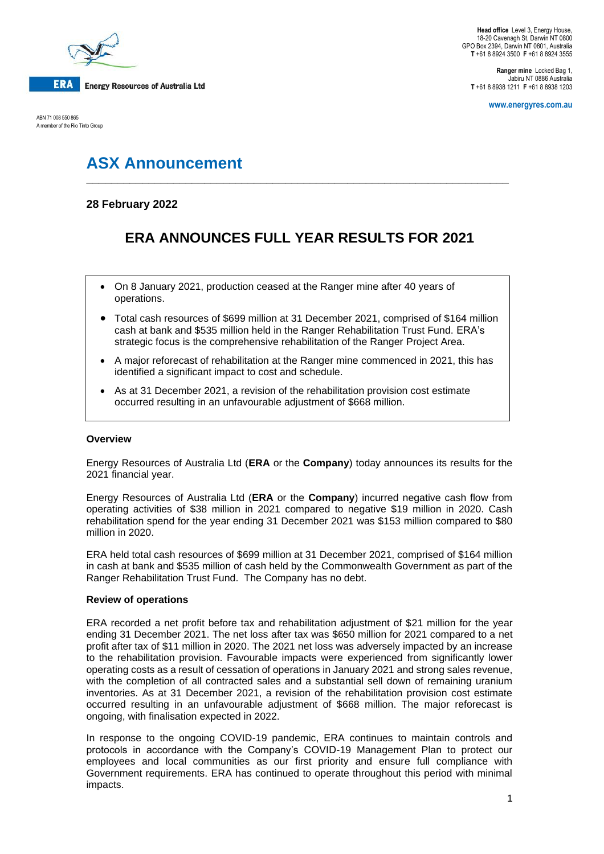

ABN 71 008 550 865 A member of the Rio Tinto Group

**Ranger mine** Locked Bag 1, Jabiru NT 0886 Australia **T** +61 8 8938 1211 **F** +61 8 8938 1203

**www.energyres.com.au**

# **ASX Announcement**

### **28 February 2022**

## **ERA ANNOUNCES FULL YEAR RESULTS FOR 2021**

**\_\_\_\_\_\_\_\_\_\_\_\_\_\_\_\_\_\_\_\_\_\_\_\_\_\_\_\_\_\_\_\_\_\_\_\_\_\_\_\_\_\_\_\_\_\_\_\_\_\_\_\_\_\_\_\_\_\_\_\_\_\_\_\_\_\_\_\_**

- On 8 January 2021, production ceased at the Ranger mine after 40 years of operations.
- Total cash resources of \$699 million at 31 December 2021, comprised of \$164 million cash at bank and \$535 million held in the Ranger Rehabilitation Trust Fund. ERA's strategic focus is the comprehensive rehabilitation of the Ranger Project Area.
- A major reforecast of rehabilitation at the Ranger mine commenced in 2021, this has identified a significant impact to cost and schedule.
- As at 31 December 2021, a revision of the rehabilitation provision cost estimate occurred resulting in an unfavourable adjustment of \$668 million.

#### **Overview**

Energy Resources of Australia Ltd (**ERA** or the **Company**) today announces its results for the 2021 financial year.

Energy Resources of Australia Ltd (**ERA** or the **Company**) incurred negative cash flow from operating activities of \$38 million in 2021 compared to negative \$19 million in 2020. Cash rehabilitation spend for the year ending 31 December 2021 was \$153 million compared to \$80 million in 2020.

ERA held total cash resources of \$699 million at 31 December 2021, comprised of \$164 million in cash at bank and \$535 million of cash held by the Commonwealth Government as part of the Ranger Rehabilitation Trust Fund. The Company has no debt.

#### **Review of operations**

ERA recorded a net profit before tax and rehabilitation adjustment of \$21 million for the year ending 31 December 2021. The net loss after tax was \$650 million for 2021 compared to a net profit after tax of \$11 million in 2020. The 2021 net loss was adversely impacted by an increase to the rehabilitation provision. Favourable impacts were experienced from significantly lower operating costs as a result of cessation of operations in January 2021 and strong sales revenue, with the completion of all contracted sales and a substantial sell down of remaining uranium inventories. As at 31 December 2021, a revision of the rehabilitation provision cost estimate occurred resulting in an unfavourable adjustment of \$668 million. The major reforecast is ongoing, with finalisation expected in 2022.

In response to the ongoing COVID-19 pandemic, ERA continues to maintain controls and protocols in accordance with the Company's COVID-19 Management Plan to protect our employees and local communities as our first priority and ensure full compliance with Government requirements. ERA has continued to operate throughout this period with minimal impacts.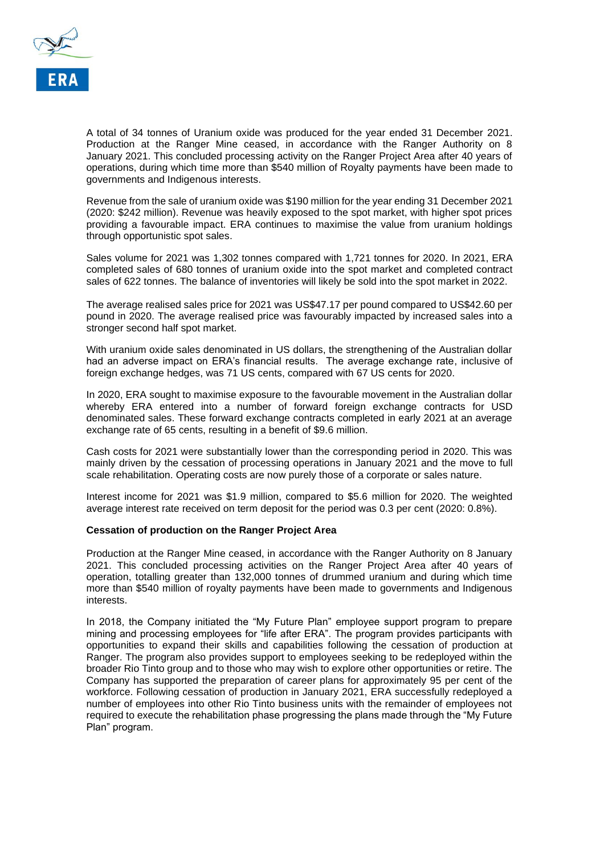

A total of 34 tonnes of Uranium oxide was produced for the year ended 31 December 2021. Production at the Ranger Mine ceased, in accordance with the Ranger Authority on 8 January 2021. This concluded processing activity on the Ranger Project Area after 40 years of operations, during which time more than \$540 million of Royalty payments have been made to governments and Indigenous interests.

Revenue from the sale of uranium oxide was \$190 million for the year ending 31 December 2021 (2020: \$242 million). Revenue was heavily exposed to the spot market, with higher spot prices providing a favourable impact. ERA continues to maximise the value from uranium holdings through opportunistic spot sales.

Sales volume for 2021 was 1,302 tonnes compared with 1,721 tonnes for 2020. In 2021, ERA completed sales of 680 tonnes of uranium oxide into the spot market and completed contract sales of 622 tonnes. The balance of inventories will likely be sold into the spot market in 2022.

The average realised sales price for 2021 was US\$47.17 per pound compared to US\$42.60 per pound in 2020. The average realised price was favourably impacted by increased sales into a stronger second half spot market.

With uranium oxide sales denominated in US dollars, the strengthening of the Australian dollar had an adverse impact on ERA's financial results. The average exchange rate, inclusive of foreign exchange hedges, was 71 US cents, compared with 67 US cents for 2020.

In 2020, ERA sought to maximise exposure to the favourable movement in the Australian dollar whereby ERA entered into a number of forward foreign exchange contracts for USD denominated sales. These forward exchange contracts completed in early 2021 at an average exchange rate of 65 cents, resulting in a benefit of \$9.6 million.

Cash costs for 2021 were substantially lower than the corresponding period in 2020. This was mainly driven by the cessation of processing operations in January 2021 and the move to full scale rehabilitation. Operating costs are now purely those of a corporate or sales nature.

Interest income for 2021 was \$1.9 million, compared to \$5.6 million for 2020. The weighted average interest rate received on term deposit for the period was 0.3 per cent (2020: 0.8%).

#### **Cessation of production on the Ranger Project Area**

Production at the Ranger Mine ceased, in accordance with the Ranger Authority on 8 January 2021. This concluded processing activities on the Ranger Project Area after 40 years of operation, totalling greater than 132,000 tonnes of drummed uranium and during which time more than \$540 million of royalty payments have been made to governments and Indigenous interests.

In 2018, the Company initiated the "My Future Plan" employee support program to prepare mining and processing employees for "life after ERA". The program provides participants with opportunities to expand their skills and capabilities following the cessation of production at Ranger. The program also provides support to employees seeking to be redeployed within the broader Rio Tinto group and to those who may wish to explore other opportunities or retire. The Company has supported the preparation of career plans for approximately 95 per cent of the workforce. Following cessation of production in January 2021, ERA successfully redeployed a number of employees into other Rio Tinto business units with the remainder of employees not required to execute the rehabilitation phase progressing the plans made through the "My Future Plan" program.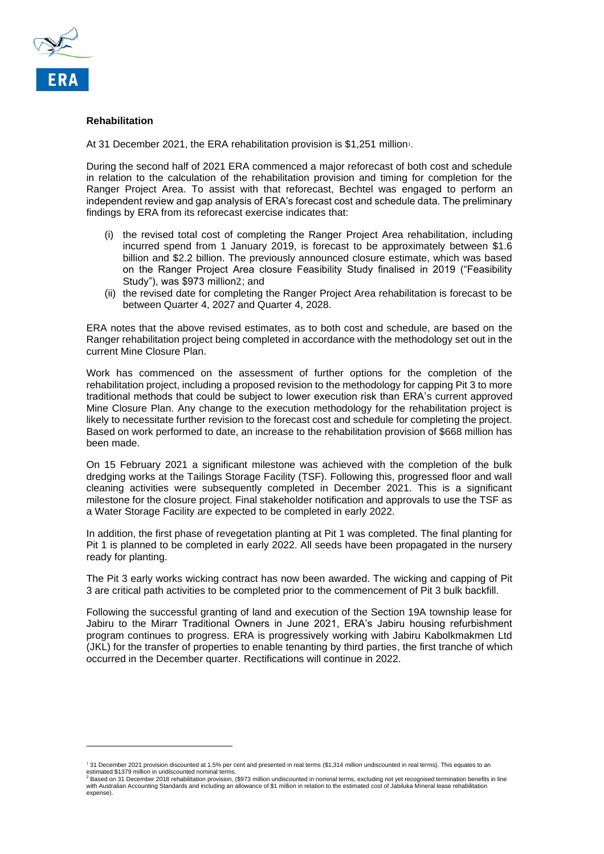

#### **Rehabilitation**

At 31 December 2021, the ERA rehabilitation provision is \$1,251 million<sup>1</sup>.

During the second half of 2021 ERA commenced a major reforecast of both cost and schedule in relation to the calculation of the rehabilitation provision and timing for completion for the Ranger Project Area. To assist with that reforecast, Bechtel was engaged to perform an independent review and gap analysis of ERA's forecast cost and schedule data. The preliminary findings by ERA from its reforecast exercise indicates that:

- (i) the revised total cost of completing the Ranger Project Area rehabilitation, including incurred spend from 1 January 2019, is forecast to be approximately between \$1.6 billion and \$2.2 billion. The previously announced closure estimate, which was based on the Ranger Project Area closure Feasibility Study finalised in 2019 ("Feasibility Study"), was \$973 million2; and
- (ii) the revised date for completing the Ranger Project Area rehabilitation is forecast to be between Quarter 4, 2027 and Quarter 4, 2028.

ERA notes that the above revised estimates, as to both cost and schedule, are based on the Ranger rehabilitation project being completed in accordance with the methodology set out in the current Mine Closure Plan.

Work has commenced on the assessment of further options for the completion of the rehabilitation project, including a proposed revision to the methodology for capping Pit 3 to more traditional methods that could be subject to lower execution risk than ERA's current approved Mine Closure Plan. Any change to the execution methodology for the rehabilitation project is likely to necessitate further revision to the forecast cost and schedule for completing the project. Based on work performed to date, an increase to the rehabilitation provision of \$668 million has been made.

On 15 February 2021 a significant milestone was achieved with the completion of the bulk dredging works at the Tailings Storage Facility (TSF). Following this, progressed floor and wall cleaning activities were subsequently completed in December 2021. This is a significant milestone for the closure project. Final stakeholder notification and approvals to use the TSF as a Water Storage Facility are expected to be completed in early 2022.

In addition, the first phase of revegetation planting at Pit 1 was completed. The final planting for Pit 1 is planned to be completed in early 2022. All seeds have been propagated in the nursery ready for planting.

The Pit 3 early works wicking contract has now been awarded. The wicking and capping of Pit 3 are critical path activities to be completed prior to the commencement of Pit 3 bulk backfill.

Following the successful granting of land and execution of the Section 19A township lease for Jabiru to the Mirarr Traditional Owners in June 2021, ERA's Jabiru housing refurbishment program continues to progress. ERA is progressively working with Jabiru Kabolkmakmen Ltd (JKL) for the transfer of properties to enable tenanting by third parties, the first tranche of which occurred in the December quarter. Rectifications will continue in 2022.

<sup>&</sup>lt;sup>ı</sup> 31 December 2021 provision discounted at 1.5% per cent and presented in real terms (\$1,314 million undiscounted in real terms). This equates to an<br>estimated \$1379 million in undiscounted nominal terms.<br><sup>2</sup> Based on 31

with Australian Accounting Standards and including an allowance of \$1 million in relation to the estimated cost of Jabiluka Mineral lease rehabilitation expense).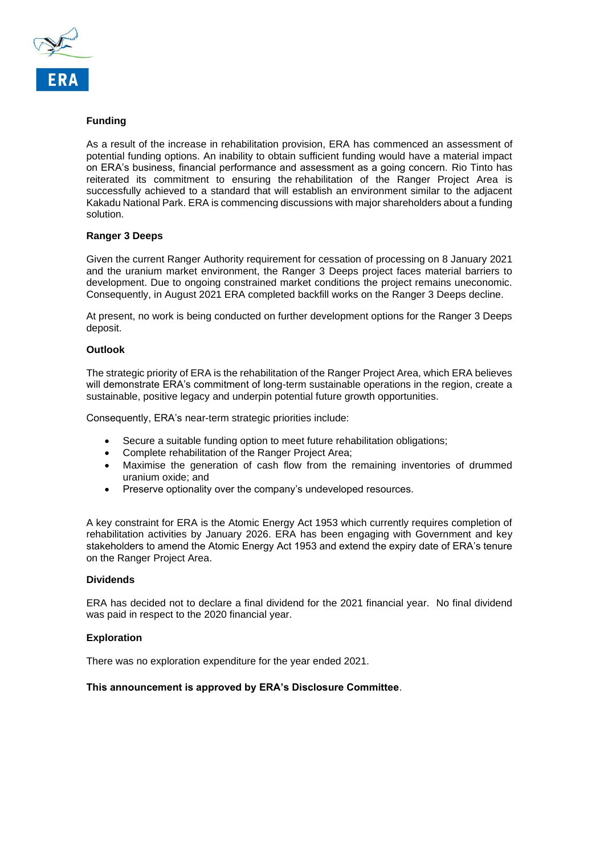

#### **Funding**

As a result of the increase in rehabilitation provision, ERA has commenced an assessment of potential funding options. An inability to obtain sufficient funding would have a material impact on ERA's business, financial performance and assessment as a going concern. Rio Tinto has reiterated its commitment to ensuring the rehabilitation of the Ranger Project Area is successfully achieved to a standard that will establish an environment similar to the adjacent Kakadu National Park. ERA is commencing discussions with major shareholders about a funding solution.

#### **Ranger 3 Deeps**

Given the current Ranger Authority requirement for cessation of processing on 8 January 2021 and the uranium market environment, the Ranger 3 Deeps project faces material barriers to development. Due to ongoing constrained market conditions the project remains uneconomic. Consequently, in August 2021 ERA completed backfill works on the Ranger 3 Deeps decline.

At present, no work is being conducted on further development options for the Ranger 3 Deeps deposit.

#### **Outlook**

The strategic priority of ERA is the rehabilitation of the Ranger Project Area, which ERA believes will demonstrate ERA's commitment of long-term sustainable operations in the region, create a sustainable, positive legacy and underpin potential future growth opportunities.

Consequently, ERA's near-term strategic priorities include:

- Secure a suitable funding option to meet future rehabilitation obligations;
- Complete rehabilitation of the Ranger Project Area;
- Maximise the generation of cash flow from the remaining inventories of drummed uranium oxide; and
- Preserve optionality over the company's undeveloped resources.

A key constraint for ERA is the Atomic Energy Act 1953 which currently requires completion of rehabilitation activities by January 2026. ERA has been engaging with Government and key stakeholders to amend the Atomic Energy Act 1953 and extend the expiry date of ERA's tenure on the Ranger Project Area.

#### **Dividends**

ERA has decided not to declare a final dividend for the 2021 financial year. No final dividend was paid in respect to the 2020 financial year.

#### **Exploration**

There was no exploration expenditure for the year ended 2021.

#### **This announcement is approved by ERA's Disclosure Committee**.